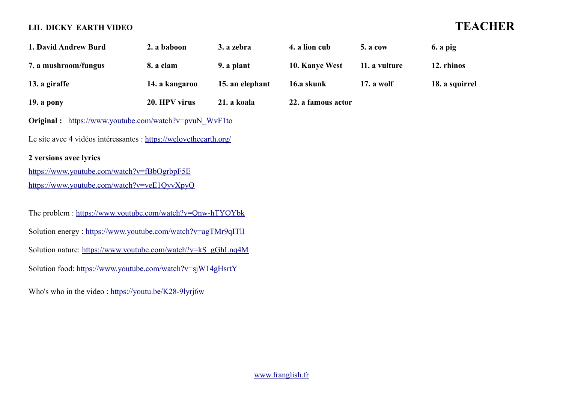## **LIL DICKY EARTH VIDEO TEACHER**

| 1. David Andrew Burd                                                                        | 2. a baboon    | 3. a zebra      | 4. a lion cub      | 5. a cow      | $6. a$ pig     |  |  |
|---------------------------------------------------------------------------------------------|----------------|-----------------|--------------------|---------------|----------------|--|--|
| 7. a mushroom/fungus                                                                        | 8. a clam      | 9. a plant      | 10. Kanye West     | 11. a vulture | 12. rhinos     |  |  |
| 13. a giraffe                                                                               | 14. a kangaroo | 15. an elephant | 16.a skunk         | 17. a wolf    | 18. a squirrel |  |  |
| 19. a pony                                                                                  | 20. HPV virus  | 21. a koala     | 22. a famous actor |               |                |  |  |
| <b>Original:</b> https://www.youtube.com/watch?v=pvuN WvF1to                                |                |                 |                    |               |                |  |  |
| Le site avec 4 vidéos intéressantes : https://welovetheearth.org/                           |                |                 |                    |               |                |  |  |
| 2 versions avec lyrics                                                                      |                |                 |                    |               |                |  |  |
| https://www.youtube.com/watch?v=fBbOgrbpF5E                                                 |                |                 |                    |               |                |  |  |
| https://www.youtube.com/watch?v=veE1QyvXpyQ                                                 |                |                 |                    |               |                |  |  |
|                                                                                             |                |                 |                    |               |                |  |  |
| The problem: https://www.youtube.com/watch?v=Qnw-hTYOYbk                                    |                |                 |                    |               |                |  |  |
| Solution energy: https://www.youtube.com/watch?v=agTMr9qITII                                |                |                 |                    |               |                |  |  |
| Solution nature: https://www.youtube.com/watch?v=kS_gGhLnq4M                                |                |                 |                    |               |                |  |  |
| Solution food: https://www.youtube.com/watch?v=sjW14gHsrtY                                  |                |                 |                    |               |                |  |  |
| Who's who in the video: $\frac{https://youtu.be/K28-9lyrj6w}{https://youtu.be/K28-9lyrj6w}$ |                |                 |                    |               |                |  |  |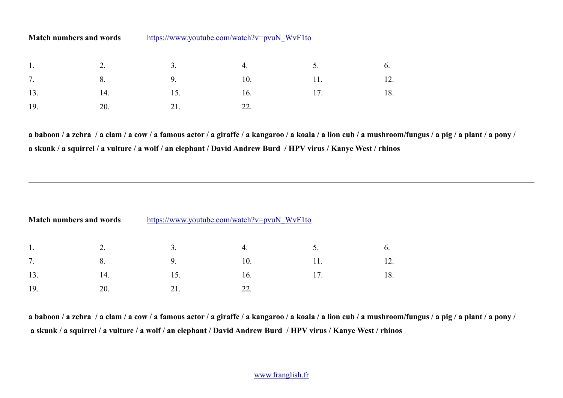| <b>Match numbers and words</b> | https://www.youtube.com/watch?v=pvuN WyF1to |
|--------------------------------|---------------------------------------------|
|                                |                                             |

|  |                 | 1. 2. 3. 4. 5. 6.       |  |
|--|-----------------|-------------------------|--|
|  |                 | 7. 8. 9. 9. 10. 11. 12. |  |
|  |                 | 13. 14. 15. 16. 17. 18. |  |
|  | 19. 20. 21. 22. |                         |  |

**a baboon / a zebra / a clam / a cow / a famous actor / a giraffe / a kangaroo / a koala / a lion cub / a mushroom/fungus / a pig / a plant / a pony / a skunk / a squirrel / a vulture / a wolf / an elephant / David Andrew Burd / HPV virus / Kanye West / rhinos**

| <b>Match numbers and words</b> |     | https://www.youtube.com/watch?v=pvuN_WvF1to |     |  |     |
|--------------------------------|-----|---------------------------------------------|-----|--|-----|
| 1.                             |     |                                             | 4.  |  |     |
| 7.                             | 8.  | 9                                           | 10. |  |     |
| 13.                            | 14. | 15.                                         | 16. |  | 18. |
| 19.                            | 20. |                                             |     |  |     |

**a baboon / a zebra / a clam / a cow / a famous actor / a giraffe / a kangaroo / a koala / a lion cub / a mushroom/fungus / a pig / a plant / a pony / a skunk / a squirrel / a vulture / a wolf / an elephant / David Andrew Burd / HPV virus / Kanye West / rhinos**

## [www.franglish.fr](http://www.franglish.fr/)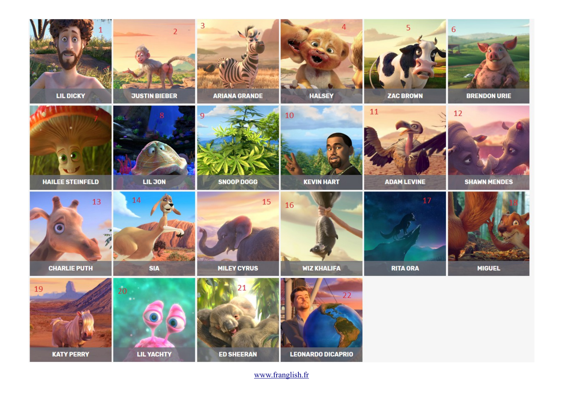

[www.franglish.fr](http://www.franglish.fr/)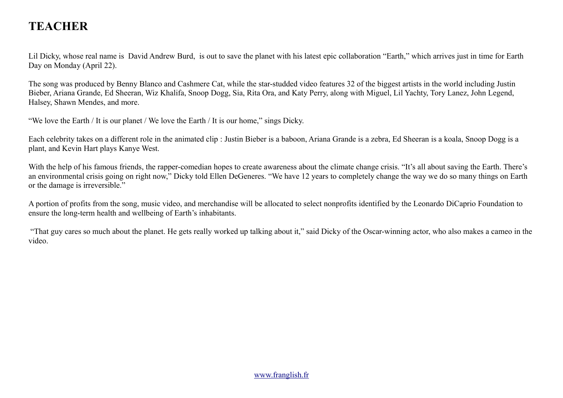# **TEACHER**

Lil Dicky, whose real name is David Andrew Burd, is out to save the planet with his latest epic collaboration "Earth," which arrives just in time for Earth Day on Monday (April 22).

The song was produced by Benny Blanco and Cashmere Cat, while the star-studded video features 32 of the biggest artists in the world including Justin Bieber, Ariana Grande, Ed Sheeran, Wiz Khalifa, Snoop Dogg, Sia, Rita Ora, and Katy Perry, along with Miguel, Lil Yachty, Tory Lanez, John Legend, Halsey, Shawn Mendes, and more.

"We love the Earth / It is our planet / We love the Earth / It is our home," sings Dicky.

Each celebrity takes on a different role in the animated clip : Justin Bieber is a baboon, Ariana Grande is a zebra, Ed Sheeran is a koala, Snoop Dogg is a plant, and Kevin Hart plays Kanye West.

With the help of his famous friends, the rapper-comedian hopes to create awareness about the climate change crisis. "It's all about saving the Earth. There's an environmental crisis going on right now," Dicky told Ellen DeGeneres. "We have 12 years to completely change the way we do so many things on Earth or the damage is irreversible."

A portion of profits from the song, music video, and merchandise will be allocated to select nonprofits identified by the Leonardo DiCaprio Foundation to ensure the long-term health and wellbeing of Earth's inhabitants.

 "That guy cares so much about the planet. He gets really worked up talking about it," said Dicky of the Oscar-winning actor, who also makes a cameo in the video.